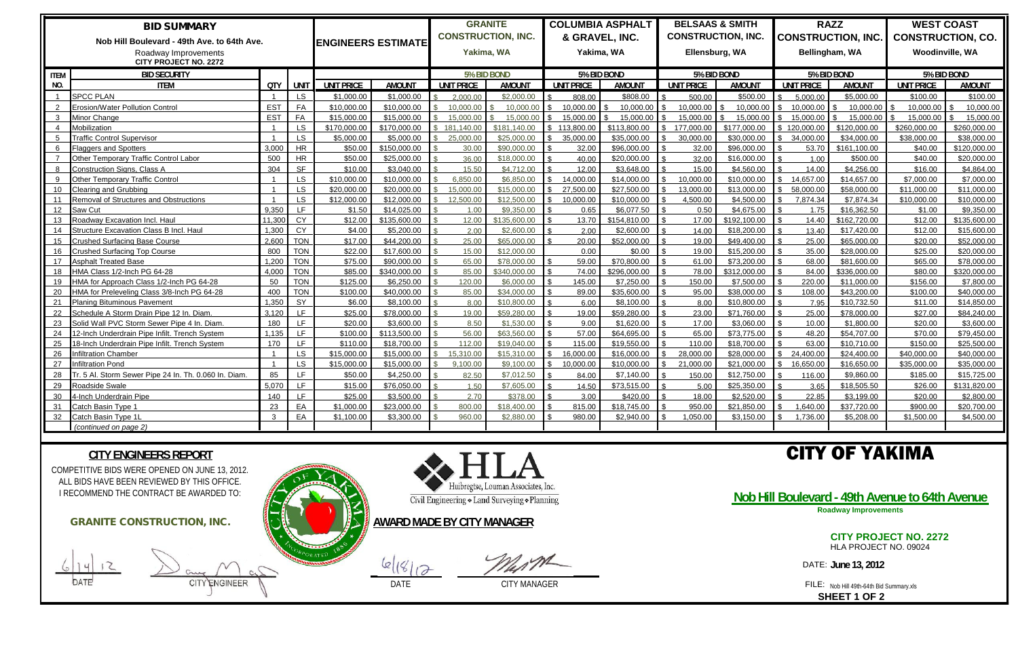|                                             | <b>BID SUMMARY</b>                                    |            |             |                           | <b>GRANITE</b><br><b>CONSTRUCTION, INC.</b> |             | <b>COLUMBIA ASPHALT</b> |               |                              | <b>BELSAAS &amp; SMITH</b><br><b>CONSTRUCTION, INC.</b> |               |                | <b>RAZZ</b>       |               | <b>WEST COAST</b>                           |               |                                                    |               |
|---------------------------------------------|-------------------------------------------------------|------------|-------------|---------------------------|---------------------------------------------|-------------|-------------------------|---------------|------------------------------|---------------------------------------------------------|---------------|----------------|-------------------|---------------|---------------------------------------------|---------------|----------------------------------------------------|---------------|
| Nob Hill Boulevard - 49th Ave. to 64th Ave. |                                                       |            |             | <b>ENGINEERS ESTIMATE</b> |                                             |             |                         |               | & GRAVEL, INC.<br>Yakima, WA |                                                         |               | Ellensburg, WA |                   |               | <b>CONSTRUCTION, INC.</b><br>Bellingham, WA |               | <b>CONSTRUCTION, CO.</b><br><b>Woodinville, WA</b> |               |
| Roadway Improvements                        |                                                       |            |             |                           | Yakima, WA                                  |             |                         |               |                              |                                                         |               |                |                   |               |                                             |               |                                                    |               |
| <b>CITY PROJECT NO. 2272</b>                |                                                       |            |             |                           |                                             |             |                         |               |                              |                                                         |               |                |                   |               |                                             |               |                                                    |               |
| <b>ITEM</b>                                 | <b>BID SECURITY</b>                                   |            |             |                           |                                             | 5% BID BOND |                         | 5% BID BOND   |                              |                                                         | 5% BID BOND   |                |                   | 5% BID BOND   |                                             | 5% BID BOND   |                                                    |               |
| NO.                                         | <b>ITEM</b>                                           | QTY        | <b>UNIT</b> | <b>UNIT PRICE</b>         | <b>AMOUNT</b>                               |             | <b>UNIT PRICE</b>       | <b>AMOUNT</b> |                              | <b>UNIT PRICE</b>                                       | <b>AMOUNT</b> |                | <b>UNIT PRICE</b> | <b>AMOUNT</b> | <b>UNIT PRICE</b>                           | <b>AMOUNT</b> | <b>UNIT PRICE</b>                                  | <b>AMOUNT</b> |
|                                             | <b>SPCC PLAN</b>                                      |            | LS          | \$1,000.00                | \$1,000.00                                  |             | 2.000.00                | \$2,000.00    |                              | 808.00                                                  | \$808.00      |                | 500.00            | \$500.00      | 5.000.00                                    | \$5,000.00    | \$100.00                                           | \$100.00      |
|                                             | Erosion/Water Pollution Control                       | <b>EST</b> | FA          | \$10,000.00               | \$10,000,00                                 |             | 10.000.00               | 10.000.00     |                              | 10.000.00                                               | 10.000.00     |                | 10.000.00         | 10.000.00     | 10.000.00                                   | 10.000.00     | 10.000.00                                          | 10,000.00     |
|                                             | Minor Change                                          | <b>EST</b> | <b>FA</b>   | \$15,000.00               | \$15,000.00                                 |             | 15.000.00               | 15.000.00     |                              | 15.000.00                                               | 15.000.00     |                | 15.000.00         | 15.000.00     | 15.000.00                                   | 15.000.00     | 15.000.00                                          | 15.000.00     |
|                                             | Mobilization                                          |            | <b>LS</b>   | \$170,000.00              | \$170,000.00                                |             | 181.140.00              | \$181,140.00  |                              | 113,800.00                                              | \$113,800.00  |                | 177,000,00        | \$177,000.00  | \$120,000.00                                | \$120,000.00  | \$260,000.00                                       | \$260,000.00  |
|                                             | <b>Traffic Control Supervisor</b>                     |            | <b>LS</b>   | \$5,000.00                | \$5,000.00                                  |             | 25,000.00               | \$25,000,00   |                              | 35.000.00                                               | \$35,000,00   |                | 30.000.00         | \$30,000,00   | 34,000.00                                   | \$34,000.00   | \$38,000,00                                        | \$38,000,00   |
|                                             | <b>Flaggers and Spotters</b>                          | 3,000      | <b>HR</b>   | \$50.00                   | \$150,000.00                                |             | 30.00                   | \$90,000,00   |                              | 32.00                                                   | \$96,000,00   |                | 32.00             | \$96,000.00   | 53.70                                       | \$161,100.00  | \$40.00                                            | \$120,000.00  |
|                                             | Other Temporary Traffic Control Labor                 | 500        | <b>HR</b>   | \$50.00                   | \$25,000.00                                 |             | 36.00                   | \$18,000.00   |                              | 40.00                                                   | \$20,000.00   |                | 32.00             | \$16,000.00   | 1.00                                        | \$500.00      | \$40.00                                            | \$20,000.00   |
|                                             | Construction Signs, Class A                           | 304        | <b>SF</b>   | \$10.00                   | \$3.040.00                                  |             | 15.50                   | \$4.712.00    |                              | 12.00                                                   | \$3.648.00    |                | 15.00             | \$4,560,00    | 14.00                                       | \$4,256.00    | \$16.00                                            | \$4,864.00    |
| $\alpha$                                    | Other Temporary Traffic Control                       |            | <b>LS</b>   | \$10,000.00               | \$10,000.00                                 |             | 6.850.00                | \$6,850.00    |                              | 14.000.00                                               | \$14,000.00   |                | 10.000.00         | \$10,000.00   | 14.657.00                                   | \$14,657.00   | \$7,000.00                                         | \$7,000.00    |
| 10 <sup>1</sup>                             | Clearing and Grubbing                                 |            | <b>LS</b>   | \$20,000.00               | \$20,000.00                                 |             | 15,000.00               | \$15,000.00   |                              | 27,500.00                                               | \$27,500.00   |                | 13.000.00         | \$13,000.00   | 58,000.00                                   | \$58,000.00   | \$11,000.00                                        | \$11,000.00   |
| 11                                          | Removal of Structures and Obstructions                |            | <b>LS</b>   | \$12,000.00               | \$12,000.00                                 |             | 12,500.00               | \$12,500,00   |                              | 10.000.00                                               | \$10,000.00   |                | 4.500.00          | \$4,500.00    | 7,874.34                                    | \$7,874.34    | \$10,000.00                                        | \$10,000.00   |
| 12 <sup>2</sup>                             | Saw Cut                                               | 9.350      | LE.         | \$1.50                    | \$14,025.00                                 |             | 1.00                    | \$9.350.00    |                              | 0.65                                                    | \$6.077.50    |                | 0.50              | \$4.675.00    | 1.75                                        | \$16,362.50   | \$1.00                                             | \$9.350.00    |
| 13                                          | Roadway Excavation Incl. Haul                         | 11,300     | <b>CY</b>   | \$12.00                   | \$135,600.00                                |             | 12.00                   | \$135,600.00  |                              | 13.70                                                   | \$154,810.00  |                | 17.00             | \$192,100.00  | 14.40                                       | \$162,720.00  | \$12.00                                            | \$135,600.00  |
| 14                                          | Structure Excavation Class B Incl. Haul               | 1,300      | <b>CY</b>   | \$4.00                    | \$5,200.00                                  |             | 2.00                    | \$2,600,00    |                              | 2.00                                                    | \$2,600,00    |                | 14.00             | \$18,200.00   | 13.40                                       | \$17,420.00   | \$12.00                                            | \$15,600.00   |
| 15                                          | Crushed Surfacing Base Course                         | 2.600      | <b>TON</b>  | \$17.00                   | \$44,200.00                                 |             | 25.00                   | \$65,000.00   |                              | 20.00                                                   | \$52,000.00   |                | 19.00             | \$49,400.00   | 25.00                                       | \$65,000.00   | \$20.00                                            | \$52,000.00   |
| 16                                          | Crushed Surfacing Top Course                          | 800        | <b>TON</b>  | \$22.00                   | \$17,600.00                                 |             | 15.00                   | \$12,000.00   |                              | 0.00                                                    | \$0.00        |                | 19.00             | \$15,200.00   | 35.00                                       | \$28,000.00   | \$25.00                                            | \$20,000.00   |
| 17                                          | \sphalt Treated Base                                  | 1,200      | <b>TON</b>  | \$75.00                   | \$90,000.00                                 |             | 65.00                   | \$78,000.00   |                              | 59.00                                                   | \$70,800.00   |                | 61.00             | \$73,200.00   | 68.00                                       | \$81,600.00   | \$65.00                                            | \$78,000.00   |
| 18                                          | HMA Class 1/2-Inch PG 64-28                           | 4,000      | <b>TON</b>  | \$85.00                   | \$340,000.00                                |             | 85.00                   | \$340,000.00  |                              | 74.00                                                   | \$296,000.00  |                | 78.00             | \$312,000.00  | 84.00                                       | \$336,000.00  | \$80.00                                            | \$320,000.00  |
| 19                                          | HMA for Approach Class 1/2-Inch PG 64-28              | 50         | <b>TON</b>  | \$125.00                  | \$6,250.00                                  |             | 120.00                  | \$6,000.00    |                              | 145.00                                                  | \$7,250.00    |                | 150.00            | \$7,500.00    | 220.00                                      | \$11,000.00   | \$156.00                                           | \$7,800.00    |
| 20                                          | HMA for Preleveling Class 3/8-Inch PG 64-28           | 400        | <b>TON</b>  | \$100.00                  | \$40,000.00                                 |             | 85.00                   | \$34,000.00   |                              | 89.00                                                   | \$35,600.00   |                | 95.00             | \$38,000.00   | 108.00                                      | \$43,200.00   | \$100.00                                           | \$40,000.00   |
| 21                                          | <b>Planing Bituminous Pavement</b>                    | 1,350      | SY          | \$6.00                    | \$8,100.00                                  |             | 8.00                    | \$10.800.00   |                              | 6.00                                                    | \$8,100.00    |                | 8.00              | \$10,800.00   | 7.95                                        | \$10,732.50   | \$11.00                                            | \$14,850.00   |
| 22                                          | Schedule A Storm Drain Pipe 12 In. Diam.              | 3.120      | LF.         | \$25.00                   | \$78,000.00                                 |             | 19.00                   | \$59,280.00   |                              | 19.00                                                   | \$59,280.00   |                | 23.00             | \$71,760.00   | 25.00                                       | \$78,000.00   | \$27.00                                            | \$84,240.00   |
| 23                                          | Solid Wall PVC Storm Sewer Pipe 4 In. Diam            | 180        | LF.         | \$20.00                   | \$3,600.00                                  |             | 8.50                    | \$1,530.00    |                              | 9.00                                                    | \$1,620.00    |                | 17.00             | \$3,060.00    | 10.00                                       | \$1,800.00    | \$20.00                                            | \$3,600.00    |
| 24                                          | 12-Inch Underdrain Pipe Infilt. Trench System         | 1.135      | LF.         | \$100.00                  | \$113,500.00                                |             | 56.00                   | \$63.560.00   |                              | 57.00                                                   | \$64,695,00   |                | 65.00             | \$73.775.00   | 48.20                                       | \$54,707.00   | \$70.00                                            | \$79,450.00   |
| 25                                          | 18-Inch Underdrain Pipe Infilt. Trench System         | 170        | IF          | \$110.00                  | \$18,700.00                                 |             | 112.00                  | \$19,040,00   |                              | 115.00                                                  | \$19,550.00   |                | 110.00            | \$18,700.00   | 63.00                                       | \$10,710.00   | \$150.00                                           | \$25,500.00   |
| 26                                          | nfiltration Chamber                                   |            | <b>LS</b>   | \$15,000.00               | \$15,000.00                                 |             | 15,310.00               | \$15,310,00   |                              | 16,000.00                                               | \$16,000,00   |                | 28,000.00         | \$28,000,00   | 24,400.00                                   | \$24,400.00   | \$40,000,00                                        | \$40,000.00   |
| 27                                          | nfiltration Pond                                      |            | <b>LS</b>   | \$15,000,00               | \$15,000.00                                 |             | 9.100.00                | \$9,100.00    |                              | 10.000.00                                               | \$10,000.00   |                | 21.000.00         | \$21,000.00   | 16,650.00                                   | \$16,650.00   | \$35,000.00                                        | \$35,000.00   |
| 28                                          | Tr. 5 Al. Storm Sewer Pipe 24 In. Th. 0.060 In. Diam. | 85         | LF.         | \$50.00                   | \$4,250.00                                  |             | 82.50                   | \$7,012.50    |                              | 84.00                                                   | \$7.140.00    |                | 150.00            | \$12,750.00   | 116.00                                      | \$9,860.00    | \$185.00                                           | \$15,725.00   |
| 29                                          | Roadside Swale                                        | 5,070      | LE.         | \$15.00                   | \$76,050.00                                 |             | 1.50                    | \$7,605.00    |                              | 14.50                                                   | \$73,515.00   |                | 5.00              | \$25,350.00   | 3.65                                        | \$18,505.50   | \$26.00                                            | \$131.820.00  |
| 30                                          | I-Inch Underdrain Pipe                                | 140        | TE.         | \$25.00                   | \$3.500.00                                  |             | 2.70                    | \$378.00      |                              | 3.00                                                    | \$420.00      |                | 18.00             | \$2,520.00    | 22.85                                       | \$3.199.00    | \$20.00                                            | \$2,800.00    |
| 31                                          | Catch Basin Type 1                                    | 23         | EA          | \$1,000.00                | \$23,000.00                                 |             | 800.00                  | \$18,400.00   |                              | 815.00                                                  | \$18,745.00   |                | 950.00            | \$21,850.00   | 1,640.00                                    | \$37,720.00   | \$900.00                                           | \$20,700.00   |
| 32                                          | Catch Basin Tvpe 1I                                   | ു          | EA          | \$1.100.00                | \$3,300,00                                  |             | 960.00                  | \$2,880.00    |                              | 980.00                                                  | \$2.940.00    |                | 1.050.00          | \$3.150.00    | 1.736.00                                    | \$5,208,00    | \$1.500.00                                         | \$4,500.00    |
|                                             | (continued on page 2)                                 |            |             |                           |                                             |             |                         |               |                              |                                                         |               |                |                   |               |                                             |               |                                                    |               |

**AWARD MADE BY CITY MANAGER**

 $|Q| (8) |Q|$ 

**CITY PROJECT NO. 2272** HLA PROJECT NO. 09024

DATE: **June 13, 2012** 





# CITY OF YAKIMA

**Nob Hill Boulevard - 49th Avenue to 64th Avenue**

**Roadway Improvements**

**SHEET 1 OF 2**

## **CITY ENGINEERS REPORT**

COMPETITIVE BIDS WERE OPENED ON JUNE 13, 2012. ALL BIDS HAVE BEEN REVIEWED BY THIS OFFICE. I RECOMMEND THE CONTRACT BE AWARDED TO: **GRANITE CONSTRUCTION, INC.**